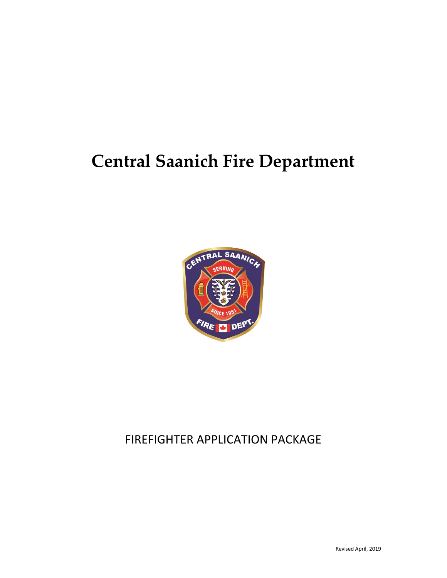## **Central Saanich Fire Department**



## FIREFIGHTER APPLICATION PACKAGE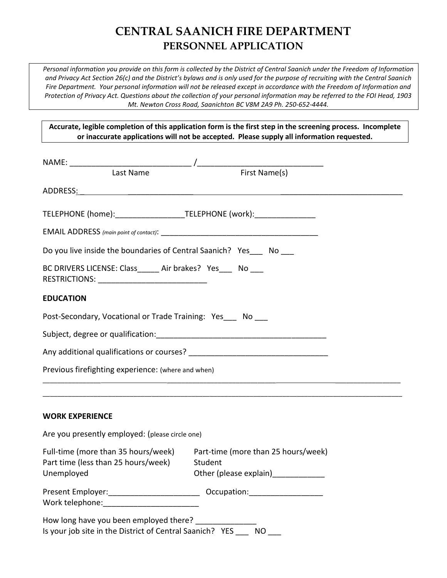## **CENTRAL SAANICH FIRE DEPARTMENT PERSONNEL APPLICATION**

*Personal information you provide on this form is collected by the District of Central Saanich under the Freedom of Information and Privacy Act Section 26(c) and the District's bylaws and is only used for the purpose of recruiting with the Central Saanich Fire Department. Your personal information will not be released except in accordance with the Freedom of Information and Protection of Privacy Act. Questions about the collection of your personal information may be referred to the FOI Head, 1903 Mt. Newton Cross Road, Saanichton BC V8M 2A9 Ph. 250-652-4444.*

**Accurate, legible completion of this application form is the first step in the screening process. Incomplete or inaccurate applications will not be accepted. Please supply all information requested.**

| TELEPHONE (home):_______________________TELEPHONE (work):_______________________                             |                                                                                                                                                                                                                                |
|--------------------------------------------------------------------------------------------------------------|--------------------------------------------------------------------------------------------------------------------------------------------------------------------------------------------------------------------------------|
|                                                                                                              |                                                                                                                                                                                                                                |
| Do you live inside the boundaries of Central Saanich? Yes __ No __                                           |                                                                                                                                                                                                                                |
| BC DRIVERS LICENSE: Class______ Air brakes? Yes____ No ___<br>RESTRICTIONS: ________________________________ |                                                                                                                                                                                                                                |
| <b>EDUCATION</b>                                                                                             |                                                                                                                                                                                                                                |
| Post-Secondary, Vocational or Trade Training: Yes __ No ___                                                  |                                                                                                                                                                                                                                |
|                                                                                                              |                                                                                                                                                                                                                                |
|                                                                                                              |                                                                                                                                                                                                                                |
| Previous firefighting experience: (where and when)                                                           |                                                                                                                                                                                                                                |
| <b>WORK EXPERIENCE</b>                                                                                       |                                                                                                                                                                                                                                |
| Are you presently employed: (please circle one)                                                              |                                                                                                                                                                                                                                |
| Full-time (more than 35 hours/week)<br>Part time (less than 25 hours/week)<br>Unemployed                     | Part-time (more than 25 hours/week)<br>Student<br>Other (please explain)__________                                                                                                                                             |
| Present Employer:_________________________<br>Work telephone: Work telephone:                                | Occupation: Decumentary Contract of the Contract of the Contract of the Contract of the Contract of the Contract of the Contract of the Contract of the Contract of the Contract of the Contract of the Contract of the Contra |
| How long have you been employed there?<br>Is your job site in the District of Central Saanich? YES           | <b>NO</b>                                                                                                                                                                                                                      |